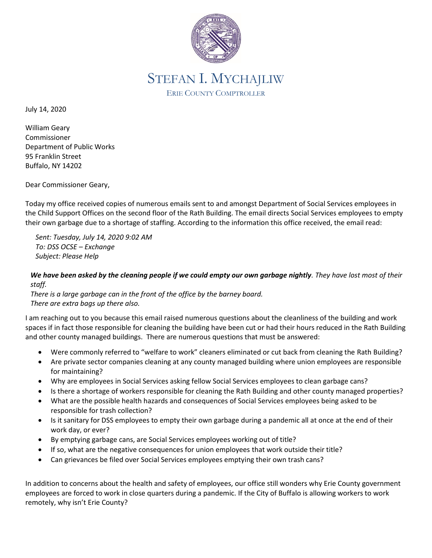

## STEFAN I. MYCHAJLIW ERIE COUNTY COMPTROLLER

July 14, 2020

William Geary Commissioner Department of Public Works 95 Franklin Street Buffalo, NY 14202

Dear Commissioner Geary,

Today my office received copies of numerous emails sent to and amongst Department of Social Services employees in the Child Support Offices on the second floor of the Rath Building. The email directs Social Services employees to empty their own garbage due to a shortage of staffing. According to the information this office received, the email read:

*Sent: Tuesday, July 14, 2020 9:02 AM To: DSS OCSE – Exchange Subject: Please Help*

## *We have been asked by the cleaning people if we could empty our own garbage nightly. They have lost most of their staff.*

*There is a large garbage can in the front of the office by the barney board. There are extra bags up there also.*

I am reaching out to you because this email raised numerous questions about the cleanliness of the building and work spaces if in fact those responsible for cleaning the building have been cut or had their hours reduced in the Rath Building and other county managed buildings. There are numerous questions that must be answered:

- Were commonly referred to "welfare to work" cleaners eliminated or cut back from cleaning the Rath Building?
- Are private sector companies cleaning at any county managed building where union employees are responsible for maintaining?
- Why are employees in Social Services asking fellow Social Services employees to clean garbage cans?
- Is there a shortage of workers responsible for cleaning the Rath Building and other county managed properties?
- What are the possible health hazards and consequences of Social Services employees being asked to be responsible for trash collection?
- Is it sanitary for DSS employees to empty their own garbage during a pandemic all at once at the end of their work day, or ever?
- By emptying garbage cans, are Social Services employees working out of title?
- If so, what are the negative consequences for union employees that work outside their title?
- Can grievances be filed over Social Services employees emptying their own trash cans?

In addition to concerns about the health and safety of employees, our office still wonders why Erie County government employees are forced to work in close quarters during a pandemic. If the City of Buffalo is allowing workers to work remotely, why isn't Erie County?